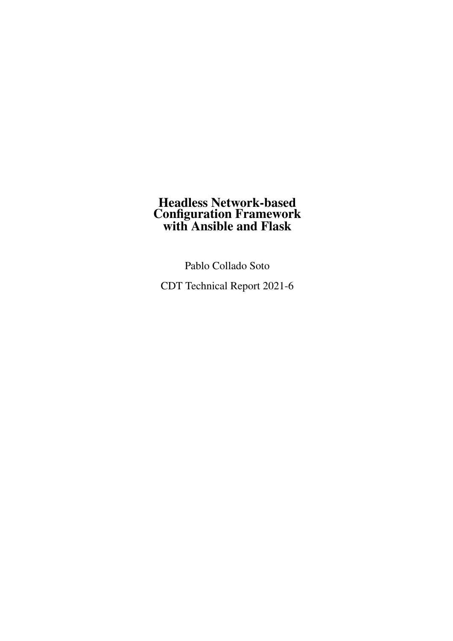### Headless Network-based Configuration Framework with Ansible and Flask

Pablo Collado Soto

CDT Technical Report 2021-6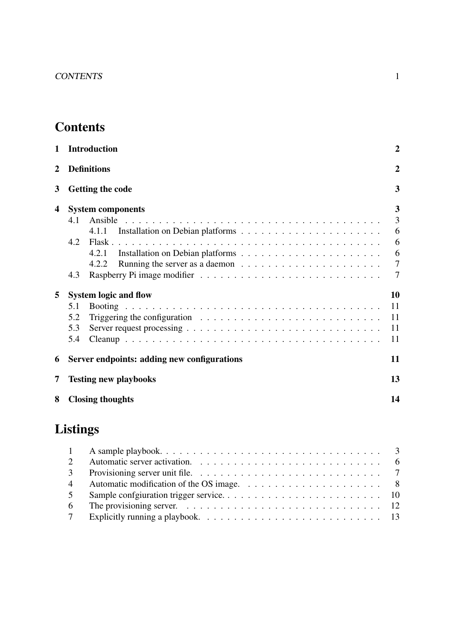# **Contents**

| 1              | <b>Introduction</b>                                                                                                                                                                                                     | $\overline{2}$       |
|----------------|-------------------------------------------------------------------------------------------------------------------------------------------------------------------------------------------------------------------------|----------------------|
| $\overline{2}$ | <b>Definitions</b>                                                                                                                                                                                                      | $\overline{2}$       |
| 3              | <b>Getting the code</b>                                                                                                                                                                                                 | 3                    |
| 4              | <b>System components</b><br>Ansible<br>4.1                                                                                                                                                                              | 3<br>3               |
|                | 4.1.1<br>4.2<br>4.2.1                                                                                                                                                                                                   | 6<br>6<br>6          |
|                | 4.2.2<br>4.3                                                                                                                                                                                                            | $\overline{7}$<br>7  |
| 5              | <b>System logic and flow</b>                                                                                                                                                                                            | 10                   |
|                | 5.1<br>Triggering the configuration $\ldots \ldots \ldots \ldots \ldots \ldots \ldots \ldots$<br>5.2<br>5.3<br>Server request processing $\ldots \ldots \ldots \ldots \ldots \ldots \ldots \ldots \ldots \ldots$<br>5.4 | 11<br>11<br>11<br>11 |
| 6              | Server endpoints: adding new configurations                                                                                                                                                                             | 11                   |
| 7              | <b>Testing new playbooks</b>                                                                                                                                                                                            | 13                   |
| 8              | <b>Closing thoughts</b>                                                                                                                                                                                                 | 14                   |

# Listings

| $\overline{3}$ | Provisioning server unit file. $\ldots \ldots \ldots \ldots \ldots \ldots \ldots \ldots \ldots \ldots$ |  |
|----------------|--------------------------------------------------------------------------------------------------------|--|
| $\overline{4}$ |                                                                                                        |  |
| 5              |                                                                                                        |  |
| -6             |                                                                                                        |  |
|                |                                                                                                        |  |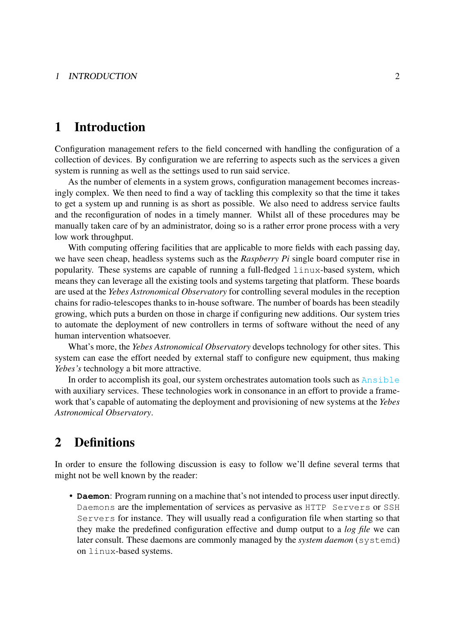### <span id="page-2-0"></span>1 Introduction

Configuration management refers to the field concerned with handling the configuration of a collection of devices. By configuration we are referring to aspects such as the services a given system is running as well as the settings used to run said service.

As the number of elements in a system grows, configuration management becomes increasingly complex. We then need to find a way of tackling this complexity so that the time it takes to get a system up and running is as short as possible. We also need to address service faults and the reconfiguration of nodes in a timely manner. Whilst all of these procedures may be manually taken care of by an administrator, doing so is a rather error prone process with a very low work throughput.

With computing offering facilities that are applicable to more fields with each passing day, we have seen cheap, headless systems such as the *Raspberry Pi* single board computer rise in popularity. These systems are capable of running a full-fledged linux-based system, which means they can leverage all the existing tools and systems targeting that platform. These boards are used at the *Yebes Astronomical Observatory* for controlling several modules in the reception chains for radio-telescopes thanks to in-house software. The number of boards has been steadily growing, which puts a burden on those in charge if configuring new additions. Our system tries to automate the deployment of new controllers in terms of software without the need of any human intervention whatsoever.

What's more, the *Yebes Astronomical Observatory* develops technology for other sites. This system can ease the effort needed by external staff to configure new equipment, thus making *Yebes's* technology a bit more attractive.

In order to accomplish its goal, our system orchestrates automation tools such as [Ansible](https://www.ansible.com/) with auxiliary services. These technologies work in consonance in an effort to provide a framework that's capable of automating the deployment and provisioning of new systems at the *Yebes Astronomical Observatory*.

### <span id="page-2-1"></span>2 Definitions

In order to ensure the following discussion is easy to follow we'll define several terms that might not be well known by the reader:

• **Daemon**: Program running on a machine that's not intended to process user input directly. Daemons are the implementation of services as pervasive as HTTP Servers or SSH Servers for instance. They will usually read a configuration file when starting so that they make the predefined configuration effective and dump output to a *log file* we can later consult. These daemons are commonly managed by the *system daemon* (*systemd*) on linux-based systems.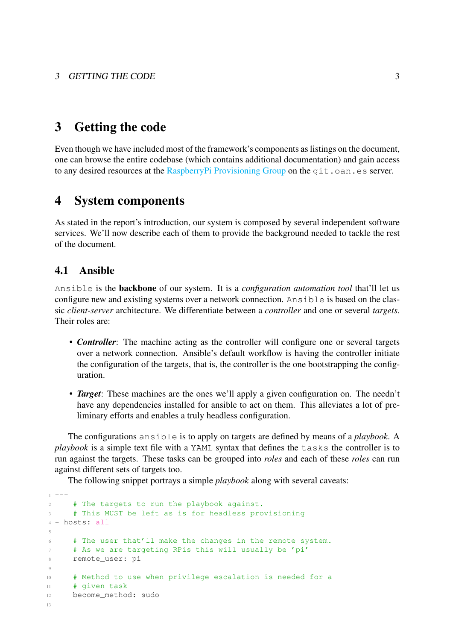### <span id="page-3-0"></span>3 Getting the code

Even though we have included most of the framework's components as listings on the document, one can browse the entire codebase (which contains additional documentation) and gain access to any desired resources at the [RaspberryPi Provisioning Group](http://git.oan.es/rpi-provisioning) on the git.oan.es server.

### <span id="page-3-1"></span>4 System components

As stated in the report's introduction, our system is composed by several independent software services. We'll now describe each of them to provide the background needed to tackle the rest of the document.

#### <span id="page-3-2"></span>4.1 Ansible

Ansible is the backbone of our system. It is a *configuration automation tool* that'll let us configure new and existing systems over a network connection. Ansible is based on the classic *client-server* architecture. We differentiate between a *controller* and one or several *targets*. Their roles are:

- *Controller*: The machine acting as the controller will configure one or several targets over a network connection. Ansible's default workflow is having the controller initiate the configuration of the targets, that is, the controller is the one bootstrapping the configuration.
- *Target*: These machines are the ones we'll apply a given configuration on. The needn't have any dependencies installed for ansible to act on them. This alleviates a lot of preliminary efforts and enables a truly headless configuration.

The configurations ansible is to apply on targets are defined by means of a *playbook*. A *playbook* is a simple text file with a YAML syntax that defines the tasks the controller is to run against the targets. These tasks can be grouped into *roles* and each of these *roles* can run against different sets of targets too.

The following snippet portrays a simple *playbook* along with several caveats:

```
1 - - -2 # The targets to run the playbook against.
3 # This MUST be left as is for headless provisioning
4 - hosts: all
5
6 # The user that'll make the changes in the remote system.
7 # As we are targeting RPis this will usually be 'pi'
8 remote_user: pi
9
10 # Method to use when privilege escalation is needed for a
11 # given task
12 become_method: sudo
13
```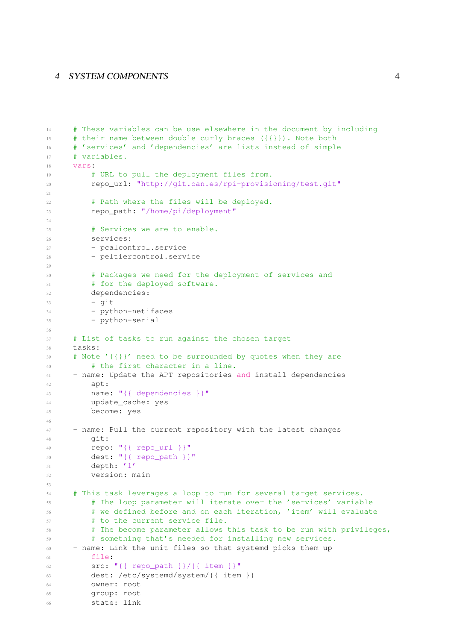```
14 # These variables can be use elsewhere in the document by including
15 # their name between double curly braces ({{}}). Note both
16 # 'services' and 'dependencies' are lists instead of simple
17 # variables.
18 vars:
19 # URL to pull the deployment files from.
20 repo_url: "http://git.oan.es/rpi-provisioning/test.git"
2122 # Path where the files will be deployed.
23 repo_path: "/home/pi/deployment"
2425 # Services we are to enable.
26 services:
27 - pcalcontrol.service
28 - peltiercontrol.service
2930 # Packages we need for the deployment of services and
31 # for the deployed software.
32 dependencies:
33 - qit34 - python-netifaces
35 - python-serial
36
37 # List of tasks to run against the chosen target
38 tasks:
39 # Note '{{}}' need to be surrounded by quotes when they are
40 # the first character in a line.
41 - name: Update the APT repositories and install dependencies
42 apt:
43 name: "{{ dependencies }}"
44 update_cache: yes
45 become: yes
46
47 - name: Pull the current repository with the latest changes
48 git:
49 repo: "{{ repo_url }}"
50 dest: "{{ repo_path }}"
51 depth: '1'
52 version: main
53
54 # This task leverages a loop to run for several target services.
55 # The loop parameter will iterate over the 'services' variable
56 # we defined before and on each iteration, 'item' will evaluate
57 # to the current service file.
58 # The become parameter allows this task to be run with privileges,
59 # something that's needed for installing new services.
60 - name: Link the unit files so that systemd picks them up
61 file:
62 src: "{{ repo_path }}/{{ item }}"
63 dest: /etc/systemd/system/{{ item }}
64 owner: root
65 group: root
66 state: link
```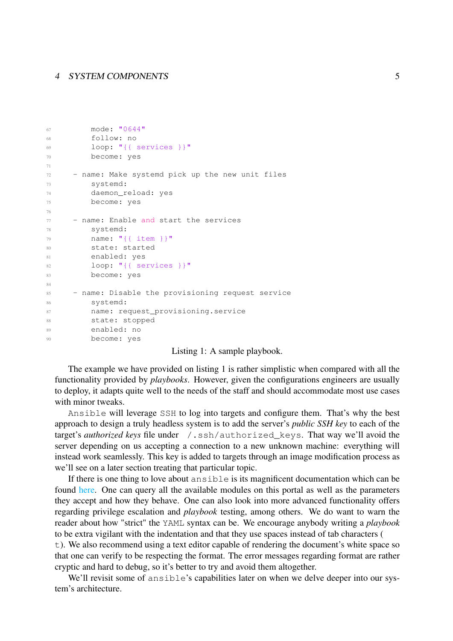```
67 mode: "0644"
68 follow: no
69 loop: "{{ services }}"
70 become: yes
71
72 - name: Make systemd pick up the new unit files
73 systemd:
74 daemon_reload: yes
75 become: yes
76
77 - name: Enable and start the services
78 systemd:
79 name: "{{ item }}"
80 state: started
81 enabled: yes
82 loop: "{{ services }}"
83 become: yes
84
85 - name: Disable the provisioning request service
86 systemd:
87 name: request_provisioning.service
88 state: stopped
89 enabled: no
90 become: yes
```
#### Listing 1: A sample playbook.

The example we have provided on listing [1](#page-3-3) is rather simplistic when compared with all the functionality provided by *playbooks*. However, given the configurations engineers are usually to deploy, it adapts quite well to the needs of the staff and should accommodate most use cases with minor tweaks.

Ansible will leverage SSH to log into targets and configure them. That's why the best approach to design a truly headless system is to add the server's *public SSH key* to each of the target's *authorized keys* file under /.ssh/authorized\_keys. That way we'll avoid the server depending on us accepting a connection to a new unknown machine: everything will instead work seamlessly. This key is added to targets through an image modification process as we'll see on a later section treating that particular topic.

If there is one thing to love about ansible is its magnificent documentation which can be found [here.](https://docs.ansible.com/ansible/latest/index.html) One can query all the available modules on this portal as well as the parameters they accept and how they behave. One can also look into more advanced functionality offers regarding privilege escalation and *playbook* testing, among others. We do want to warn the reader about how "strict" the YAML syntax can be. We encourage anybody writing a *playbook* to be extra vigilant with the indentation and that they use spaces instead of tab characters (

t). We also recommend using a text editor capable of rendering the document's white space so that one can verify to be respecting the format. The error messages regarding format are rather cryptic and hard to debug, so it's better to try and avoid them altogether.

We'll revisit some of ansible's capabilities later on when we delve deeper into our system's architecture.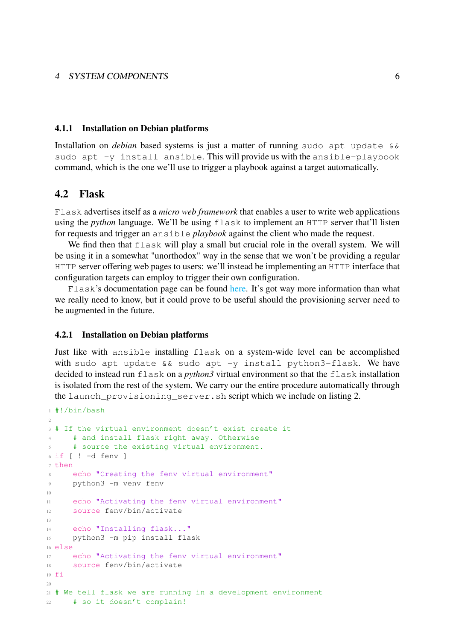#### <span id="page-6-0"></span>4.1.1 Installation on Debian platforms

Installation on *debian* based systems is just a matter of running sudo apt update && sudo apt  $-y$  install ansible. This will provide us with the ansible-playbook command, which is the one we'll use to trigger a playbook against a target automatically.

#### <span id="page-6-1"></span>4.2 Flask

Flask advertises itself as a *micro web framework* that enables a user to write web applications using the *python* language. We'll be using flask to implement an HTTP server that'll listen for requests and trigger an ansible *playbook* against the client who made the request.

We find then that flask will play a small but crucial role in the overall system. We will be using it in a somewhat "unorthodox" way in the sense that we won't be providing a regular HTTP server offering web pages to users: we'll instead be implementing an HTTP interface that configuration targets can employ to trigger their own configuration.

Flask's documentation page can be found [here.](https://flask.palletsprojects.com/en/1.1.x/) It's got way more information than what we really need to know, but it could prove to be useful should the provisioning server need to be augmented in the future.

#### <span id="page-6-2"></span>4.2.1 Installation on Debian platforms

Just like with ansible installing flask on a system-wide level can be accomplished with sudo apt update  $&\&$  sudo apt -y install python3-flask. We have decided to instead run flask on a *python3* virtual environment so that the flask installation is isolated from the rest of the system. We carry our the entire procedure automatically through the launch\_provisioning\_server.sh script which we include on listing [2.](#page-6-3)

```
1 #!/bin/bash
\overline{2}3 # If the virtual environment doesn't exist create it
     # and install flask right away. Otherwise
5 # source the existing virtual environment.
6 if ! -d fenv ]7 then
8 echo "Creating the fenv virtual environment"
9 python3 -m venv fenv
10
11 echo "Activating the fenv virtual environment"
12 source fenv/bin/activate
13
14 echo "Installing flask..."
15 python3 -m pip install flask
16 else
17 echo "Activating the fenv virtual environment"
18 source fenv/bin/activate
19 fi
2021 # We tell flask we are running in a development environment
22 # so it doesn't complain!
```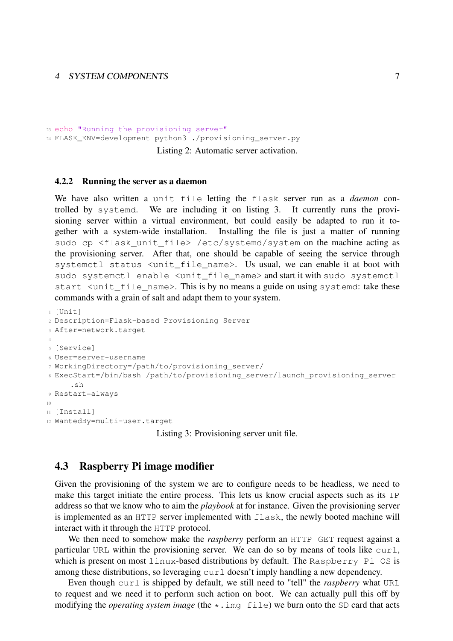```
23 echo "Running the provisioning server"
24 FLASK_ENV=development python3 ./provisioning_server.py
```
Listing 2: Automatic server activation.

#### <span id="page-7-0"></span>4.2.2 Running the server as a daemon

We have also written a unit file letting the flask server run as a *daemon* controlled by systemd. We are including it on listing [3.](#page-7-2) It currently runs the provisioning server within a virtual environment, but could easily be adapted to run it together with a system-wide installation. Installing the file is just a matter of running sudo cp <flask\_unit\_file> /etc/systemd/system on the machine acting as the provisioning server. After that, one should be capable of seeing the service through systemctl status <unit\_file\_name>. Us usual, we can enable it at boot with sudo systemctl enable <unit\_file\_name> and start it with sudo systemctl start <unit\_file\_name>. This is by no means a guide on using systemd: take these commands with a grain of salt and adapt them to your system.

```
1 [Unit]
2 Description=Flask-based Provisioning Server
3 After=network.target
4
5 [Service]
6 User=server-username
7 WorkingDirectory=/path/to/provisioning_server/
8 ExecStart=/bin/bash /path/to/provisioning_server/launch_provisioning_server
     .sh
9 Restart=always
10
11 [Install]
12 WantedBy=multi-user.target
```
Listing 3: Provisioning server unit file.

#### <span id="page-7-1"></span>4.3 Raspberry Pi image modifier

Given the provisioning of the system we are to configure needs to be headless, we need to make this target initiate the entire process. This lets us know crucial aspects such as its IP address so that we know who to aim the *playbook* at for instance. Given the provisioning server is implemented as an HTTP server implemented with flask, the newly booted machine will interact with it through the HTTP protocol.

We then need to somehow make the *raspberry* perform an HTTP GET request against a particular URL within the provisioning server. We can do so by means of tools like curl, which is present on most linux-based distributions by default. The Raspberry Pi OS is among these distributions, so leveraging  $curl$  doesn't imply handling a new dependency.

Even though curl is shipped by default, we still need to "tell" the *raspberry* what URL to request and we need it to perform such action on boot. We can actually pull this off by modifying the *operating system image* (the \*.img file) we burn onto the SD card that acts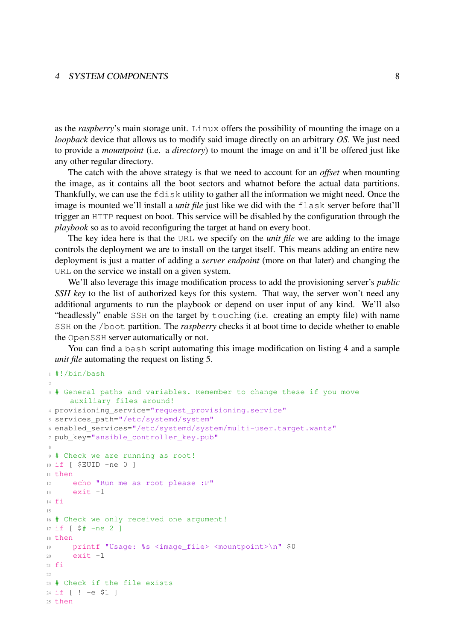as the *raspberry*'s main storage unit. Linux offers the possibility of mounting the image on a *loopback* device that allows us to modify said image directly on an arbitrary *OS*. We just need to provide a *mountpoint* (i.e. a *directory*) to mount the image on and it'll be offered just like any other regular directory.

The catch with the above strategy is that we need to account for an *offset* when mounting the image, as it contains all the boot sectors and whatnot before the actual data partitions. Thankfully, we can use the fdisk utility to gather all the information we might need. Once the image is mounted we'll install a *unit file* just like we did with the flask server before that'll trigger an HTTP request on boot. This service will be disabled by the configuration through the *playbook* so as to avoid reconfiguring the target at hand on every boot.

The key idea here is that the URL we specify on the *unit file* we are adding to the image controls the deployment we are to install on the target itself. This means adding an entire new deployment is just a matter of adding a *server endpoint* (more on that later) and changing the URL on the service we install on a given system.

We'll also leverage this image modification process to add the provisioning server's *public SSH key* to the list of authorized keys for this system. That way, the server won't need any additional arguments to run the playbook or depend on user input of any kind. We'll also "headlessly" enable SSH on the target by touching (i.e. creating an empty file) with name SSH on the /boot partition. The *raspberry* checks it at boot time to decide whether to enable the OpenSSH server automatically or not.

You can find a bash script automating this image modification on listing [4](#page-8-0) and a sample *unit file* automating the request on listing [5.](#page-10-1)

<span id="page-8-0"></span><sup>1</sup> #!/bin/bash

2

```
3 # General paths and variables. Remember to change these if you move
     auxiliary files around!
4 provisioning service="request provisioning.service"
5 services_path="/etc/systemd/system"
6 enabled services="/etc/systemd/system/multi-user.target.wants"
7 pub_key="ansible_controller_key.pub"
 8
9 # Check we are running as root!
10 if [ $EUID -ne 0 ]
11 then
12 echo "Run me as root please :P"
13 exit -114 fi
15
16 # Check we only received one argument!
17 if [ $# -ne 2 ]
18 then
19 printf "Usage: %s <image_file> <mountpoint>\n" $0
20 exit -121 fi
2223 # Check if the file exists
24 if [ ! -e $1 ]
25 then
```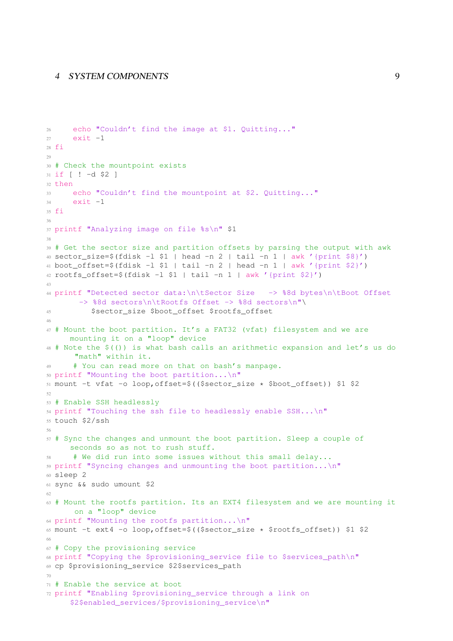```
26 echo "Couldn't find the image at $1. Quitting..."
27 exit -128 fi
2930 # Check the mountpoint exists
31 if [ ! -d $2 ]
32 + h \geq n33 echo "Couldn't find the mountpoint at $2. Quitting..."
34 exit -135 fi
36
37 printf "Analyzing image on file %s\n" $1
38
39 # Get the sector size and partition offsets by parsing the output with awk
40 sector_size=$(fdisk -l $1 | head -n 2 | tail -n 1 | awk '{print $8}')
41 boot offset=$(fdisk -l $1 | tail -n 2 | head -n 1 | awk '{print $2}}')42 rootfs offset=$(fdisk -l $1 | tail -n 1 | awk '{print $2}')
43
44 printf "Detected sector data:\n\tSector Size -> %8d bytes\n\tBoot Offset
       -> %8d sectors\n\tRootfs Offset -> %8d sectors\n"\
45 $sector_size $boot_offset $rootfs_offset
46
47 # Mount the boot partition. It's a FAT32 (vfat) filesystem and we are
     mounting it on a "loop" device
48 # Note the $(()) is what bash calls an arithmetic expansion and let's us do
      "math" within it.
49 # You can read more on that on bash's manpage.
50 printf "Mounting the boot partition...\n"
51 mount -t vfat -o loop,offset=$(($sector_size * $boot_offset)) $1 $2
52
53 # Enable SSH headlessly
54 printf "Touching the ssh file to headlessly enable SSH... \n\infty"
55 touch $2/ssh
56
57 # Sync the changes and unmount the boot partition. Sleep a couple of
     seconds so as not to rush stuff.
     # We did run into some issues without this small delay...
59 printf "Syncing changes and unmounting the boot partition...\n\cdot \mathbb{I}^n60 sleep 2
61 sync && sudo umount $2
62
63 # Mount the rootfs partition. Its an EXT4 filesystem and we are mounting it
      on a "loop" device
64 printf "Mounting the rootfs partition...\n"
65 mount -t ext4 -o loop, offset=$( ($sector size * $rootfs offset)) $1 $2
66
67 # Copy the provisioning service
68 printf "Copying the $provisioning_service file to $services_path\n"
69 cp $provisioning_service $2$services_path
70
71 # Enable the service at boot
72 printf "Enabling $provisioning_service through a link on
     $2$enabled_services/$provisioning_service\n"
```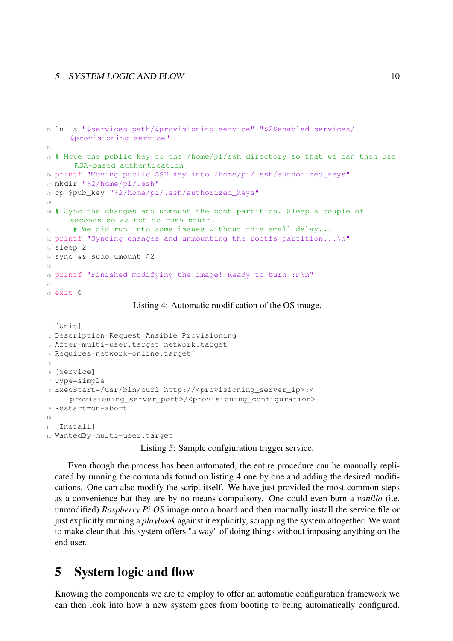```
73 ln -s "$services_path/$provisioning_service" "$2$enabled_services/
     $provisioning_service"
74
75 # Move the public key to the /home/pi/ssh directory so that we can then use
      RSA-based authentication
76 printf "Moving public SSH key into /home/pi/.ssh/authorized_keys"
77 mkdir "$2/home/pi/.ssh"
78 cp $pub_key "$2/home/pi/.ssh/authorized_keys"
79
80 # Sync the changes and unmount the boot partition. Sleep a couple of
     seconds so as not to rush stuff.
81 # We did run into some issues without this small delay...
82 printf "Syncing changes and unmounting the rootfs partition...\n\cdot \mathbb{R}^n83 sleep 2
84 sync && sudo umount $2
0586 printf "Finished modifying the image! Ready to burn : P \n^m87
88 exit 0
```
Listing 4: Automatic modification of the OS image.

```
1 [Unit]
2 Description=Request Ansible Provisioning
3 After=multi-user.target network.target
4 Requires=network-online.target
5
6 [Service]
7 Type=simple
8 ExecStart=/usr/bin/curl http://<provisioning_server_ip>:<
    provisioning_server_port>/<provisioning_configuration>
9 Restart=on-abort
10
11 [Install]
12 WantedBy=multi-user.target
```
Listing 5: Sample confgiuration trigger service.

Even though the process has been automated, the entire procedure can be manually replicated by running the commands found on listing [4](#page-8-0) one by one and adding the desired modifications. One can also modify the script itself. We have just provided the most common steps as a convenience but they are by no means compulsory. One could even burn a *vanilla* (i.e. unmodified) *Raspberry Pi OS* image onto a board and then manually install the service file or just explicitly running a *playbook* against it explicitly, scrapping the system altogether. We want to make clear that this system offers "a way" of doing things without imposing anything on the end user.

### <span id="page-10-0"></span>5 System logic and flow

Knowing the components we are to employ to offer an automatic configuration framework we can then look into how a new system goes from booting to being automatically configured.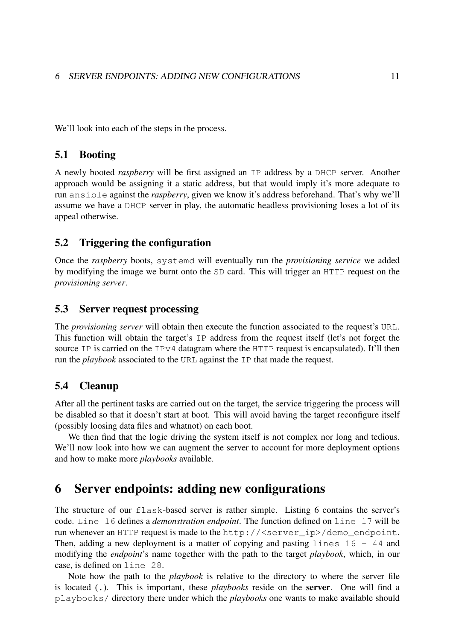We'll look into each of the steps in the process.

#### <span id="page-11-0"></span>5.1 Booting

A newly booted *raspberry* will be first assigned an IP address by a DHCP server. Another approach would be assigning it a static address, but that would imply it's more adequate to run ansible against the *raspberry*, given we know it's address beforehand. That's why we'll assume we have a DHCP server in play, the automatic headless provisioning loses a lot of its appeal otherwise.

#### <span id="page-11-1"></span>5.2 Triggering the configuration

Once the *raspberry* boots, systemd will eventually run the *provisioning service* we added by modifying the image we burnt onto the SD card. This will trigger an HTTP request on the *provisioning server*.

#### <span id="page-11-2"></span>5.3 Server request processing

The *provisioning server* will obtain then execute the function associated to the request's URL. This function will obtain the target's IP address from the request itself (let's not forget the source IP is carried on the IP $\nu$ 4 datagram where the HTTP request is encapsulated). It'll then run the *playbook* associated to the URL against the IP that made the request.

#### <span id="page-11-3"></span>5.4 Cleanup

After all the pertinent tasks are carried out on the target, the service triggering the process will be disabled so that it doesn't start at boot. This will avoid having the target reconfigure itself (possibly loosing data files and whatnot) on each boot.

We then find that the logic driving the system itself is not complex nor long and tedious. We'll now look into how we can augment the server to account for more deployment options and how to make more *playbooks* available.

### <span id="page-11-4"></span>6 Server endpoints: adding new configurations

The structure of our flask-based server is rather simple. Listing [6](#page-12-0) contains the server's code. Line 16 defines a *demonstration endpoint*. The function defined on line 17 will be run whenever an HTTP request is made to the http://<server\_ip>/demo\_endpoint. Then, adding a new deployment is a matter of copying and pasting lines  $16 - 44$  and modifying the *endpoint*'s name together with the path to the target *playbook*, which, in our case, is defined on line 28.

Note how the path to the *playbook* is relative to the directory to where the server file is located (.). This is important, these *playbooks* reside on the server. One will find a playbooks/ directory there under which the *playbooks* one wants to make available should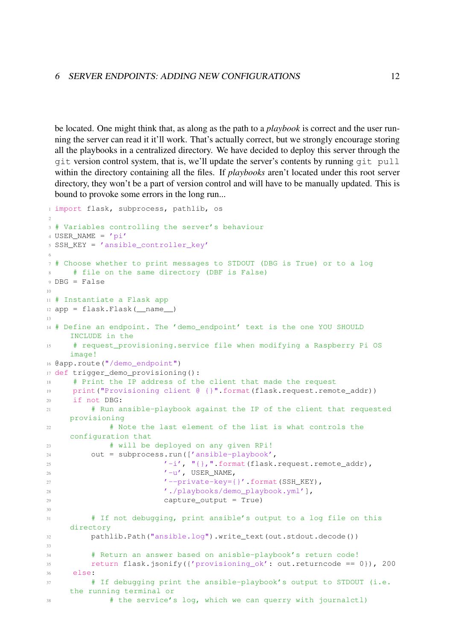be located. One might think that, as along as the path to a *playbook* is correct and the user running the server can read it it'll work. That's actually correct, but we strongly encourage storing all the playbooks in a centralized directory. We have decided to deploy this server through the git version control system, that is, we'll update the server's contents by running git pull within the directory containing all the files. If *playbooks* aren't located under this root server directory, they won't be a part of version control and will have to be manually updated. This is bound to provoke some errors in the long run...

```
1 import flask, subprocess, pathlib, os
2
3 # Variables controlling the server's behaviour
4 USER_NAME = 'pi'
5 SSH_KEY = 'ansible_controller_key'
6
7 # Choose whether to print messages to STDOUT (DBG is True) or to a log
8 # file on the same directory (DBF is False)
9 DBG = False
10
11 # Instantiate a Flask app
12 app = flask.Flask(__name__)
13
14 # Define an endpoint. The 'demo_endpoint' text is the one YOU SHOULD
    INCLUDE in the
15 # request_provisioning.service file when modifying a Raspberry Pi OS
    image!
16 @app.route("/demo_endpoint")
17 def trigger_demo_provisioning():
18 # Print the IP address of the client that made the request
19 print("Provisioning client @ {}".format(flask.request.remote_addr))
20 if not DBG:
21 # Run ansible-playbook against the IP of the client that requested
    provisioning
22 # Note the last element of the list is what controls the
    configuration that
23 # will be deployed on any given RPi!
24 out = subprocess.run(['ansible-playbook',
25 ' -i', "\{\}, "\ format(flask.request.remote_addr),
v_{\text{u}}, \text{USER\_NAME},27 '--private-key={}'.format(SSH_KEY),
28 './playbooks/demo_playbook.yml'],
29 capture_output = True)
30
31 # If not debugging, print ansible's output to a log file on this
    directory
32 pathlib.Path("ansible.log").write_text(out.stdout.decode())
33
34 # Return an answer based on anisble-playbook's return code!
35 return flask.jsonify({'provisioning_ok': out.returncode == 0}), 200
36 else:
37 # If debugging print the ansible-playbook's output to STDOUT (i.e.
    the running terminal or
38 # the service's log, which we can querry with journalctl)
```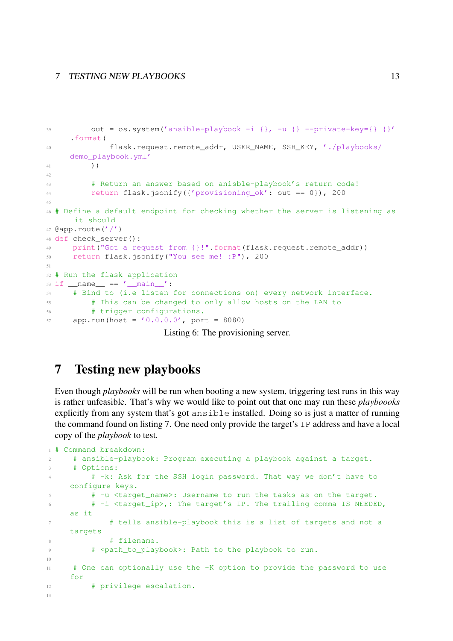```
39 out = \cos \cdot \text{system('ansible-player -i } \}, -u \} - \text{private-key} = \{\} '.format(
40 flask.request.remote_addr, USER_NAME, SSH_KEY, './playbooks/
     demo_playbook.yml'
41 ))
42
43 # Return an answer based on anisble-playbook's return code!
44 return flask.jsonify({'provisioning_ok': out == 0}), 200
45
46 # Define a default endpoint for checking whether the server is listening as
     it should
47 @app.route('/')
48 def check_server():
49 print("Got a request from {}!".format(flask.request.remote addr))
50 return flask.jsonify("You see me! :P"), 200
5152 # Run the flask application
53 if __name__ == ' __main_':
54 # Bind to (i.e listen for connections on) every network interface.
55 # This can be changed to only allow hosts on the LAN to
56 # trigger configurations.
57 app.run(host = '0.0.0.0', port = 8080)
```
Listing 6: The provisioning server.

## <span id="page-13-0"></span>7 Testing new playbooks

Even though *playbooks* will be run when booting a new system, triggering test runs in this way is rather unfeasible. That's why we would like to point out that one may run these *playboooks* explicitly from any system that's got ansible installed. Doing so is just a matter of running the command found on listing [7.](#page-13-1) One need only provide the target's IP address and have a local copy of the *playbook* to test.

```
1 # Command breakdown:
2 # ansible-playbook: Program executing a playbook against a target.
     # Options:
4 # -k: Ask for the SSH login password. That way we don't have to
    configure keys.
5 # -u <target_name>: Username to run the tasks as on the target.
6 # -i <target_ip>,: The target's IP. The trailing comma IS NEEDED,
    as it
7 # tells ansible-playbook this is a list of targets and not a
    targets
8 # filename.
9 # <path_to_playbook>: Path to the playbook to run.
10
11 # One can optionally use the -K option to provide the password to use
    for
12 # privilege escalation.
13
```